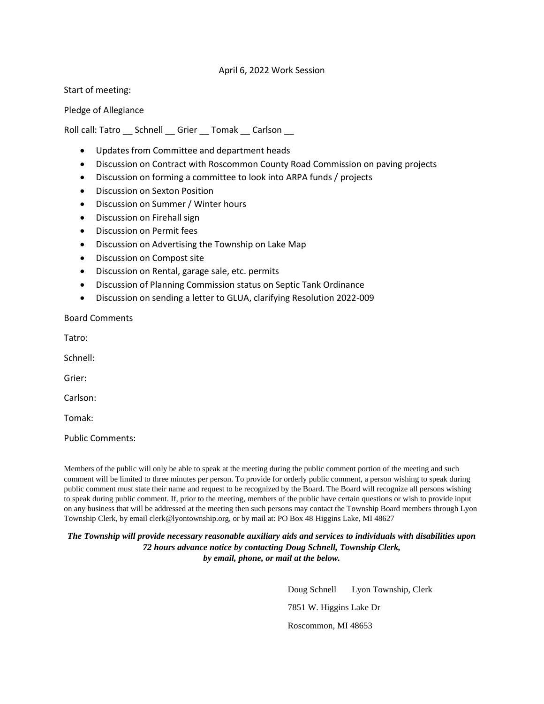## April 6, 2022 Work Session

Start of meeting:

Pledge of Allegiance

Roll call: Tatro \_\_ Schnell \_\_ Grier \_\_ Tomak \_\_ Carlson \_\_

- Updates from Committee and department heads
- Discussion on Contract with Roscommon County Road Commission on paving projects
- Discussion on forming a committee to look into ARPA funds / projects
- Discussion on Sexton Position
- Discussion on Summer / Winter hours
- Discussion on Firehall sign
- Discussion on Permit fees
- Discussion on Advertising the Township on Lake Map
- Discussion on Compost site
- Discussion on Rental, garage sale, etc. permits
- Discussion of Planning Commission status on Septic Tank Ordinance
- Discussion on sending a letter to GLUA, clarifying Resolution 2022-009

Board Comments

Tatro:

Schnell:

Grier:

Carlson:

Tomak:

Public Comments:

Members of the public will only be able to speak at the meeting during the public comment portion of the meeting and such comment will be limited to three minutes per person. To provide for orderly public comment, a person wishing to speak during public comment must state their name and request to be recognized by the Board. The Board will recognize all persons wishing to speak during public comment. If, prior to the meeting, members of the public have certain questions or wish to provide input on any business that will be addressed at the meeting then such persons may contact the Township Board members through Lyon Township Clerk, by email clerk@lyontownship.org, or by mail at: PO Box 48 Higgins Lake, MI 48627

*The Township will provide necessary reasonable auxiliary aids and services to individuals with disabilities upon 72 hours advance notice by contacting Doug Schnell, Township Clerk, by email, phone, or mail at the below.*

> Doug Schnell Lyon Township, Clerk 7851 W. Higgins Lake Dr Roscommon, MI 48653